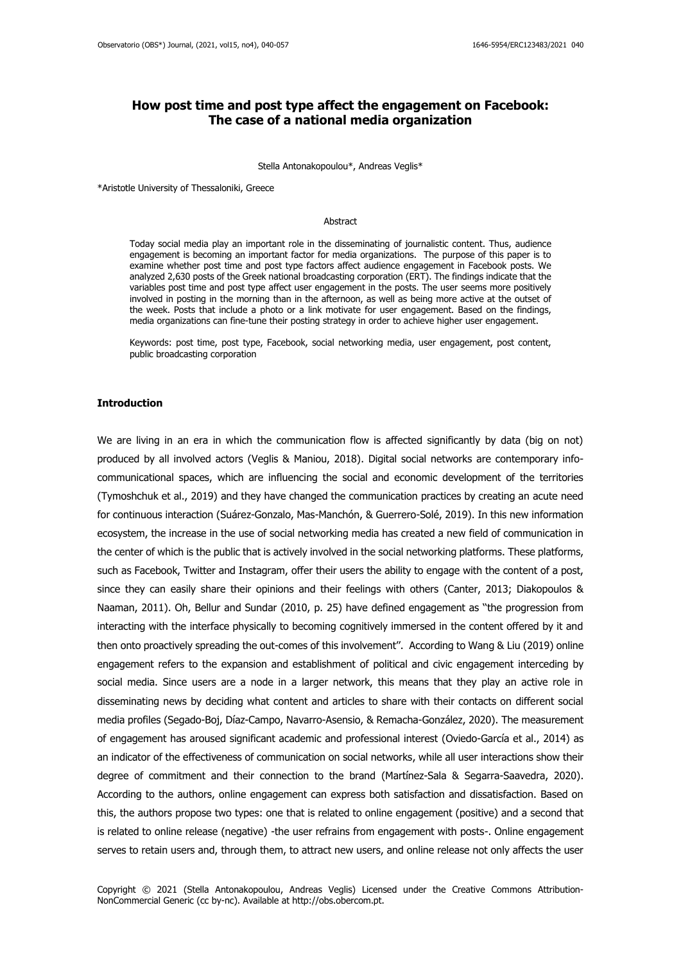# **How post time and post type affect the engagement on Facebook: The case of a national media organization**

Stella Antonakopoulou\*, Andreas Veglis\*

\*Aristotle University of Thessaloniki, Greece

### Abstract

Today social media play an important role in the disseminating of journalistic content. Thus, audience engagement is becoming an important factor for media organizations. The purpose of this paper is to examine whether post time and post type factors affect audience engagement in Facebook posts. We analyzed 2,630 posts of the Greek national broadcasting corporation (ERT). The findings indicate that the variables post time and post type affect user engagement in the posts. The user seems more positively involved in posting in the morning than in the afternoon, as well as being more active at the outset of the week. Posts that include a photo or a link motivate for user engagement. Based on the findings, media organizations can fine-tune their posting strategy in order to achieve higher user engagement.

Keywords: post time, post type, Facebook, social networking media, user engagement, post content, public broadcasting corporation

#### **Introduction**

We are living in an era in which the communication flow is affected significantly by data (big on not) produced by all involved actors (Veglis & Maniou, 2018). Digital social networks are contemporary infocommunicational spaces, which are influencing the social and economic development of the territories (Tymoshchuk et al., 2019) and they have changed the communication practices by creating an acute need for continuous interaction (Suárez-Gonzalo, Mas-Manchón, & Guerrero-Solé, 2019). In this new information ecosystem, the increase in the use of social networking media has created a new field of communication in the center of which is the public that is actively involved in the social networking platforms. These platforms, such as Facebook, Twitter and Instagram, offer their users the ability to engage with the content of a post, since they can easily share their opinions and their feelings with others (Canter, 2013; Diakopoulos & Naaman, 2011). Oh, Bellur and Sundar (2010, p. 25) have defined engagement as ''the progression from interacting with the interface physically to becoming cognitively immersed in the content offered by it and then onto proactively spreading the out-comes of this involvement''. According to Wang & Liu (2019) online engagement refers to the expansion and establishment of political and civic engagement interceding by social media. Since users are a node in a larger network, this means that they play an active role in disseminating news by deciding what content and articles to share with their contacts on different social media profiles (Segado-Boj, Díaz-Campo, Navarro-Asensio, & Remacha-González, 2020). The measurement of engagement has aroused significant academic and professional interest (Oviedo-García et al., 2014) as an indicator of the effectiveness of communication on social networks, while all user interactions show their degree of commitment and their connection to the brand (Martínez-Sala & Segarra-Saavedra, 2020). According to the authors, online engagement can express both satisfaction and dissatisfaction. Based on this, the authors propose two types: one that is related to online engagement (positive) and a second that is related to online release (negative) -the user refrains from engagement with posts-. Online engagement serves to retain users and, through them, to attract new users, and online release not only affects the user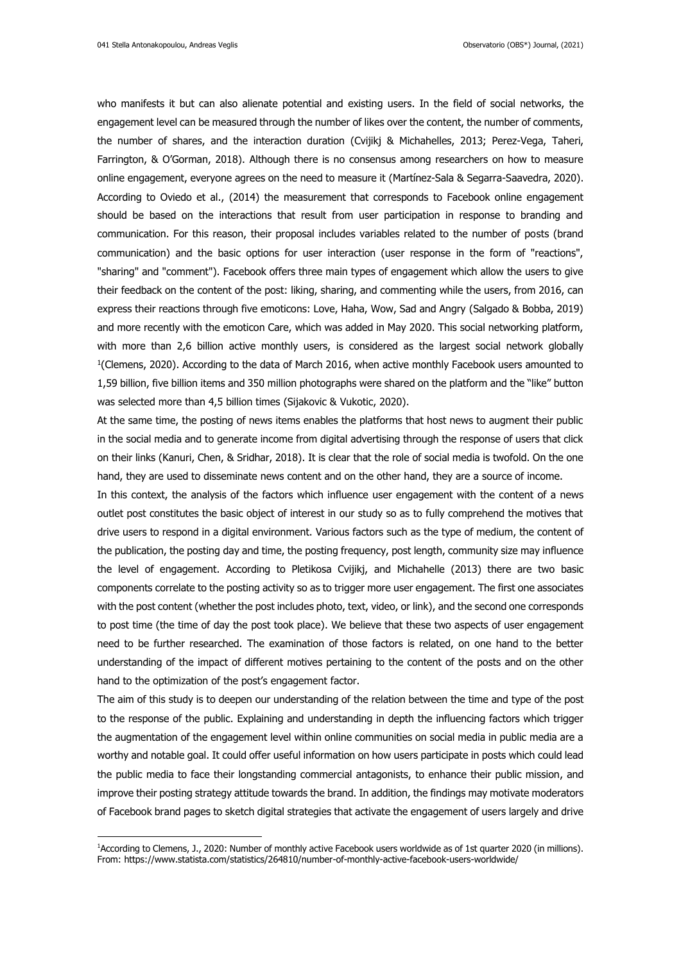who manifests it but can also alienate potential and existing users. In the field of social networks, the engagement level can be measured through the number of likes over the content, the number of comments, the number of shares, and the interaction duration (Cvijikj & Michahelles, 2013; Perez-Vega, Taheri, Farrington, & O'Gorman, 2018). Although there is no consensus among researchers on how to measure online engagement, everyone agrees on the need to measure it (Martínez-Sala & Segarra-Saavedra, 2020). According to Oviedo et al., (2014) the measurement that corresponds to Facebook online engagement should be based on the interactions that result from user participation in response to branding and communication. For this reason, their proposal includes variables related to the number of posts (brand communication) and the basic options for user interaction (user response in the form of "reactions", "sharing" and "comment"). Facebook offers three main types of engagement which allow the users to give their feedback on the content of the post: liking, sharing, and commenting while the users, from 2016, can express their reactions through five emoticons: Love, Haha, Wow, Sad and Angry (Salgado & Bobba, 2019) and more recently with the emoticon Care, which was added in May 2020. This social networking platform, with more than 2,6 billion active monthly users, is considered as the largest social network globally 1 (Clemens, 2020). According to the data of March 2016, when active monthly Facebook users amounted to 1,59 billion, five billion items and 350 million photographs were shared on the platform and the "like" button was selected more than 4,5 billion times (Sijakovic & Vukotic, 2020).

At the same time, the posting of news items enables the platforms that host news to augment their public in the social media and to generate income from digital advertising through the response of users that click on their links (Kanuri, Chen, & Sridhar, 2018). It is clear that the role of social media is twofold. On the one hand, they are used to disseminate news content and on the other hand, they are a source of income.

In this context, the analysis of the factors which influence user engagement with the content of a news outlet post constitutes the basic object of interest in our study so as to fully comprehend the motives that drive users to respond in a digital environment. Various factors such as the type of medium, the content of the publication, the posting day and time, the posting frequency, post length, community size may influence the level of engagement. According to Pletikosa Cvijikj, and Michahelle (2013) there are two basic components correlate to the posting activity so as to trigger more user engagement. The first one associates with the post content (whether the post includes photo, text, video, or link), and the second one corresponds to post time (the time of day the post took place). We believe that these two aspects of user engagement need to be further researched. The examination of those factors is related, on one hand to the better understanding of the impact of different motives pertaining to the content of the posts and on the other hand to the optimization of the post's engagement factor.

The aim of this study is to deepen our understanding of the relation between the time and type of the post to the response of the public. Explaining and understanding in depth the influencing factors which trigger the augmentation of the engagement level within online communities on social media in public media are a worthy and notable goal. It could offer useful information on how users participate in posts which could lead the public media to face their longstanding commercial antagonists, to enhance their public mission, and improve their posting strategy attitude towards the brand. In addition, the findings may motivate moderators of Facebook brand pages to sketch digital strategies that activate the engagement of users largely and drive

<sup>1</sup>According to Clemens, J., 2020: Number of monthly active Facebook users worldwide as of 1st quarter 2020 (in millions). From: https://www.statista.com/statistics/264810/number-of-monthly-active-facebook-users-worldwide/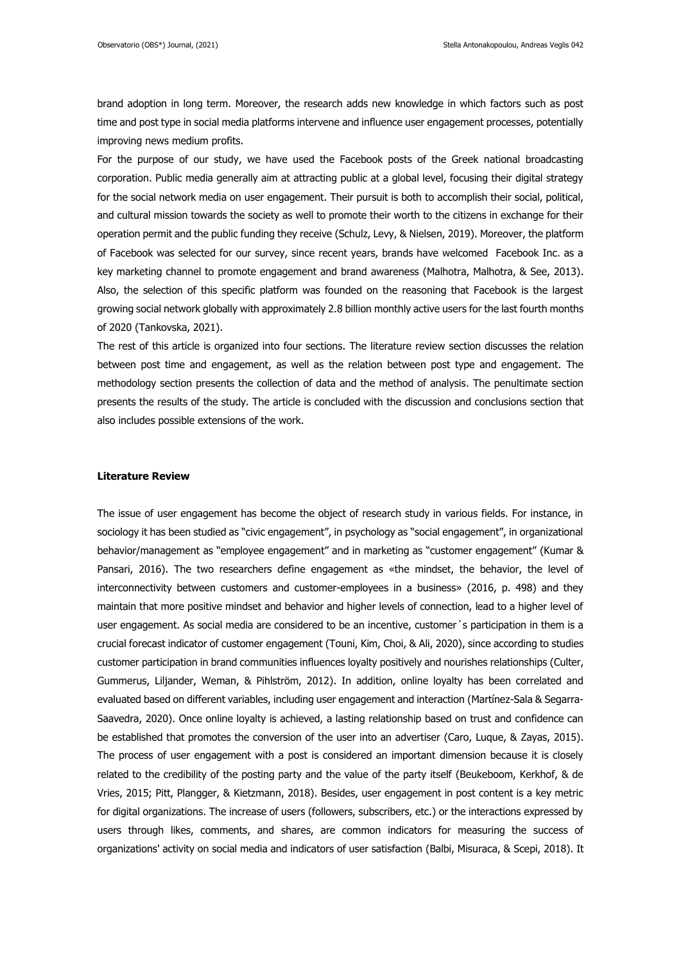brand adoption in long term. Moreover, the research adds new knowledge in which factors such as post time and post type in social media platforms intervene and influence user engagement processes, potentially improving news medium profits.

For the purpose of our study, we have used the Facebook posts of the Greek national broadcasting corporation. Public media generally aim at attracting public at a global level, focusing their digital strategy for the social network media on user engagement. Their pursuit is both to accomplish their social, political, and cultural mission towards the society as well to promote their worth to the citizens in exchange for their operation permit and the public funding they receive (Schulz, Levy, & Nielsen, 2019). Moreover, the platform of Facebook was selected for our survey, since recent years, brands have welcomed Facebook Inc. as a key marketing channel to promote engagement and brand awareness (Malhotra, Malhotra, & See, 2013). Also, the selection of this specific platform was founded on the reasoning that Facebook is the largest growing social network globally with approximately 2.8 billion monthly active users for the last fourth months of 2020 (Tankovska, 2021).

The rest of this article is organized into four sections. The literature review section discusses the relation between post time and engagement, as well as the relation between post type and engagement. The methodology section presents the collection of data and the method of analysis. The penultimate section presents the results of the study. The article is concluded with the discussion and conclusions section that also includes possible extensions of the work.

## **Literature Review**

The issue of user engagement has become the object of research study in various fields. For instance, in sociology it has been studied as "civic engagement", in psychology as "social engagement", in organizational behavior/management as "employee engagement" and in marketing as "customer engagement" (Kumar & Pansari, 2016). The two researchers define engagement as «the mindset, the behavior, the level of interconnectivity between customers and customer-employees in a business» (2016, p. 498) and they maintain that more positive mindset and behavior and higher levels of connection, lead to a higher level of user engagement. As social media are considered to be an incentive, customer΄s participation in them is a crucial forecast indicator of customer engagement (Touni, Kim, Choi, & Ali, 2020), since according to studies customer participation in brand communities influences loyalty positively and nourishes relationships (Culter, Gummerus, Liljander, Weman, & Pihlström, 2012). In addition, online loyalty has been correlated and evaluated based on different variables, including user engagement and interaction (Martínez-Sala & Segarra-Saavedra, 2020). Once online loyalty is achieved, a lasting relationship based on trust and confidence can be established that promotes the conversion of the user into an advertiser (Caro, Luque, & Zayas, 2015). The process of user engagement with a post is considered an important dimension because it is closely related to the credibility of the posting party and the value of the party itself (Beukeboom, Kerkhof, & de Vries, 2015; Pitt, Plangger, & Kietzmann, 2018). Besides, user engagement in post content is a key metric for digital organizations. The increase of users (followers, subscribers, etc.) or the interactions expressed by users through likes, comments, and shares, are common indicators for measuring the success of organizations' activity on social media and indicators of user satisfaction (Balbi, Misuraca, & Scepi, 2018). It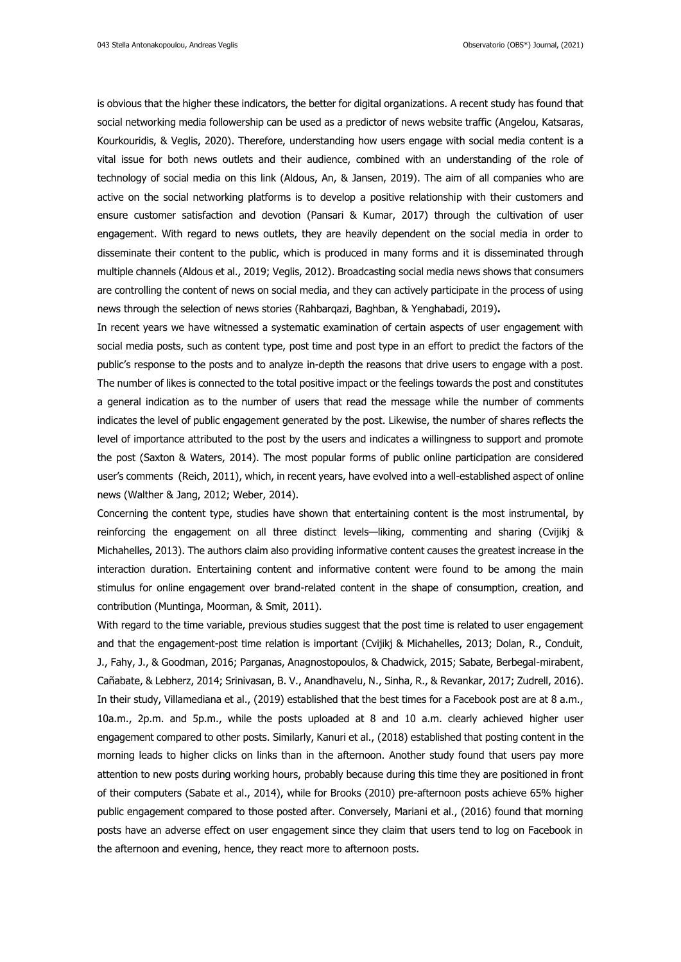is obvious that the higher these indicators, the better for digital organizations. A recent study has found that social networking media followership can be used as a predictor of news website traffic (Angelou, Katsaras, Kourkouridis, & Veglis, 2020). Therefore, understanding how users engage with social media content is a vital issue for both news outlets and their audience, combined with an understanding of the role of technology of social media on this link (Aldous, An, & Jansen, 2019). The aim of all companies who are active on the social networking platforms is to develop a positive relationship with their customers and ensure customer satisfaction and devotion (Pansari & Kumar, 2017) through the cultivation of user engagement. With regard to news outlets, they are heavily dependent on the social media in order to disseminate their content to the public, which is produced in many forms and it is disseminated through multiple channels (Aldous et al., 2019; Veglis, 2012). Broadcasting social media news shows that consumers are controlling the content of news on social media, and they can actively participate in the process of using news through the selection of news stories (Rahbarqazi, Baghban, & Yenghabadi, 2019)**.**

In recent years we have witnessed a systematic examination of certain aspects of user engagement with social media posts, such as content type, post time and post type in an effort to predict the factors of the public's response to the posts and to analyze in-depth the reasons that drive users to engage with a post. The number of likes is connected to the total positive impact or the feelings towards the post and constitutes a general indication as to the number of users that read the message while the number of comments indicates the level of public engagement generated by the post. Likewise, the number of shares reflects the level of importance attributed to the post by the users and indicates a willingness to support and promote the post (Saxton & Waters, 2014). The most popular forms of public online participation are considered user's comments (Reich, 2011), which, in recent years, have evolved into a well-established aspect of online news (Walther & Jang, 2012; Weber, 2014).

Concerning the content type, studies have shown that entertaining content is the most instrumental, by reinforcing the engagement on all three distinct levels—liking, commenting and sharing (Cvijikj & Michahelles, 2013). The authors claim also providing informative content causes the greatest increase in the interaction duration. Entertaining content and informative content were found to be among the main stimulus for online engagement over brand-related content in the shape of consumption, creation, and contribution (Muntinga, Moorman, & Smit, 2011).

With regard to the time variable, previous studies suggest that the post time is related to user engagement and that the engagement-post time relation is important (Cvijikj & Michahelles, 2013; Dolan, R., Conduit, J., Fahy, J., & Goodman, 2016; Parganas, Anagnostopoulos, & Chadwick, 2015; Sabate, Berbegal-mirabent, Cañabate, & Lebherz, 2014; Srinivasan, B. V., Anandhavelu, N., Sinha, R., & Revankar, 2017; Zudrell, 2016). In their study, Villamediana et al., (2019) established that the best times for a Facebook post are at 8 a.m., 10a.m., 2p.m. and 5p.m., while the posts uploaded at 8 and 10 a.m. clearly achieved higher user engagement compared to other posts. Similarly, Kanuri et al., (2018) established that posting content in the morning leads to higher clicks on links than in the afternoon. Another study found that users pay more attention to new posts during working hours, probably because during this time they are positioned in front of their computers (Sabate et al., 2014), while for Brooks (2010) pre-afternoon posts achieve 65% higher public engagement compared to those posted after. Conversely, Mariani et al., (2016) found that morning posts have an adverse effect on user engagement since they claim that users tend to log on Facebook in the afternoon and evening, hence, they react more to afternoon posts.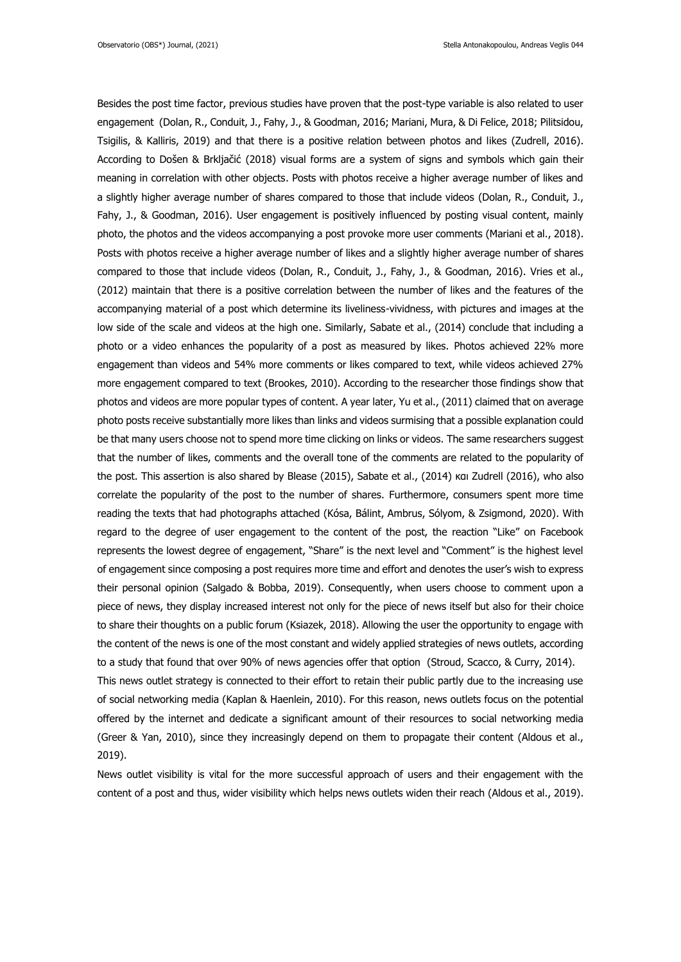Besides the post time factor, previous studies have proven that the post-type variable is also related to user engagement (Dolan, R., Conduit, J., Fahy, J., & Goodman, 2016; Mariani, Mura, & Di Felice, 2018; Pilitsidou, Tsigilis, & Kalliris, 2019) and that there is a positive relation between photos and likes (Zudrell, 2016). According to Došen & Brkljačić (2018) visual forms are a system of signs and symbols which gain their meaning in correlation with other objects. Posts with photos receive a higher average number of likes and a slightly higher average number of shares compared to those that include videos (Dolan, R., Conduit, J., Fahy, J., & Goodman, 2016). User engagement is positively influenced by posting visual content, mainly photo, the photos and the videos accompanying a post provoke more user comments (Mariani et al., 2018). Posts with photos receive a higher average number of likes and a slightly higher average number of shares compared to those that include videos (Dolan, R., Conduit, J., Fahy, J., & Goodman, 2016). Vries et al., (2012) maintain that there is a positive correlation between the number of likes and the features of the accompanying material of a post which determine its liveliness-vividness, with pictures and images at the low side of the scale and videos at the high one. Similarly, Sabate et al., (2014) conclude that including a photo or a video enhances the popularity of a post as measured by likes. Photos achieved 22% more engagement than videos and 54% more comments or likes compared to text, while videos achieved 27% more engagement compared to text (Brookes, 2010). According to the researcher those findings show that photos and videos are more popular types of content. A year later, Yu et al., (2011) claimed that on average photo posts receive substantially more likes than links and videos surmising that a possible explanation could be that many users choose not to spend more time clicking on links or videos. The same researchers suggest that the number of likes, comments and the overall tone of the comments are related to the popularity of the post. This assertion is also shared by Blease (2015), Sabate et al., (2014) και Zudrell (2016), who also correlate the popularity of the post to the number of shares. Furthermore, consumers spent more time reading the texts that had photographs attached (Kósa, Bálint, Ambrus, Sólyom, & Zsigmond, 2020). With regard to the degree of user engagement to the content of the post, the reaction "Like" on Facebook represents the lowest degree of engagement, "Share" is the next level and "Comment" is the highest level of engagement since composing a post requires more time and effort and denotes the user's wish to express their personal opinion (Salgado & Bobba, 2019). Consequently, when users choose to comment upon a piece of news, they display increased interest not only for the piece of news itself but also for their choice to share their thoughts on a public forum (Ksiazek, 2018). Allowing the user the opportunity to engage with the content of the news is one of the most constant and widely applied strategies of news outlets, according to a study that found that over 90% of news agencies offer that option (Stroud, Scacco, & Curry, 2014). This news outlet strategy is connected to their effort to retain their public partly due to the increasing use of social networking media (Kaplan & Haenlein, 2010). For this reason, news outlets focus on the potential offered by the internet and dedicate a significant amount of their resources to social networking media (Greer & Yan, 2010), since they increasingly depend on them to propagate their content (Aldous et al., 2019).

News outlet visibility is vital for the more successful approach of users and their engagement with the content of a post and thus, wider visibility which helps news outlets widen their reach (Aldous et al., 2019).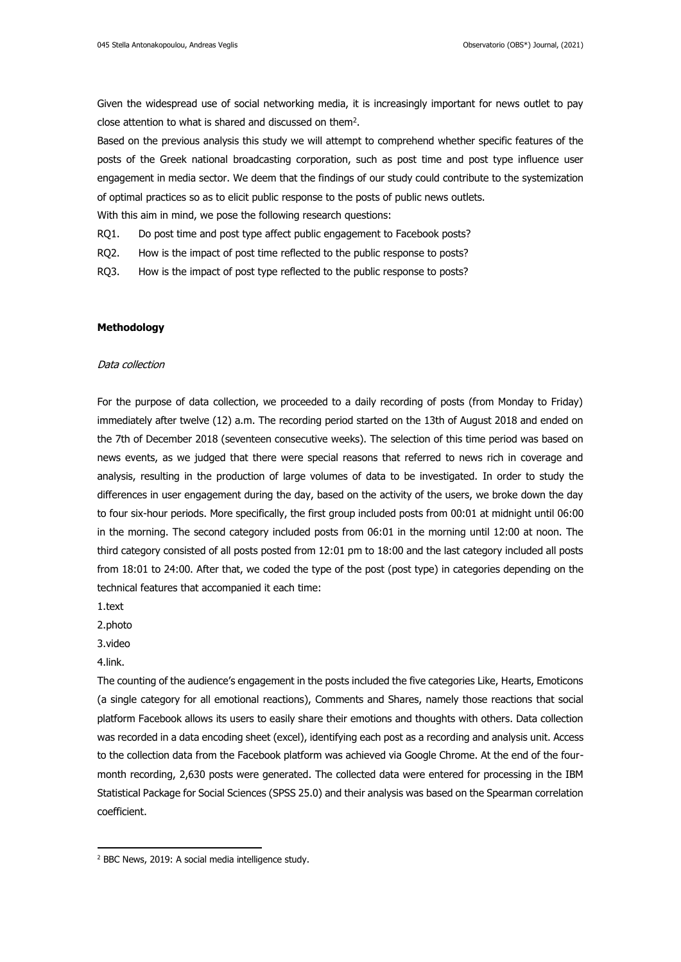Given the widespread use of social networking media, it is increasingly important for news outlet to pay close attention to what is shared and discussed on them<sup>2</sup>.

Based on the previous analysis this study we will attempt to comprehend whether specific features of the posts of the Greek national broadcasting corporation, such as post time and post type influence user engagement in media sector. We deem that the findings of our study could contribute to the systemization of optimal practices so as to elicit public response to the posts of public news outlets.

With this aim in mind, we pose the following research questions:

- RQ1. Do post time and post type affect public engagement to Facebook posts?
- RQ2. How is the impact of post time reflected to the public response to posts?
- RQ3. How is the impact of post type reflected to the public response to posts?

# **Methodology**

#### Data collection

For the purpose of data collection, we proceeded to a daily recording of posts (from Monday to Friday) immediately after twelve (12) a.m. The recording period started on the 13th of August 2018 and ended on the 7th of December 2018 (seventeen consecutive weeks). The selection of this time period was based on news events, as we judged that there were special reasons that referred to news rich in coverage and analysis, resulting in the production of large volumes of data to be investigated. In order to study the differences in user engagement during the day, based on the activity of the users, we broke down the day to four six-hour periods. More specifically, the first group included posts from 00:01 at midnight until 06:00 in the morning. The second category included posts from 06:01 in the morning until 12:00 at noon. The third category consisted of all posts posted from 12:01 pm to 18:00 and the last category included all posts from 18:01 to 24:00. After that, we coded the type of the post (post type) in categories depending on the technical features that accompanied it each time:

1.text

2.photo

3.video

# 4.link.

The counting of the audience's engagement in the posts included the five categories Like, Hearts, Emoticons (a single category for all emotional reactions), Comments and Shares, namely those reactions that social platform Facebook allows its users to easily share their emotions and thoughts with others. Data collection was recorded in a data encoding sheet (excel), identifying each post as a recording and analysis unit. Access to the collection data from the Facebook platform was achieved via Google Chrome. At the end of the fourmonth recording, 2,630 posts were generated. The collected data were entered for processing in the IBM Statistical Package for Social Sciences (SPSS 25.0) and their analysis was based on the Spearman correlation coefficient.

<sup>2</sup> BBC News, 2019: A social media intelligence study.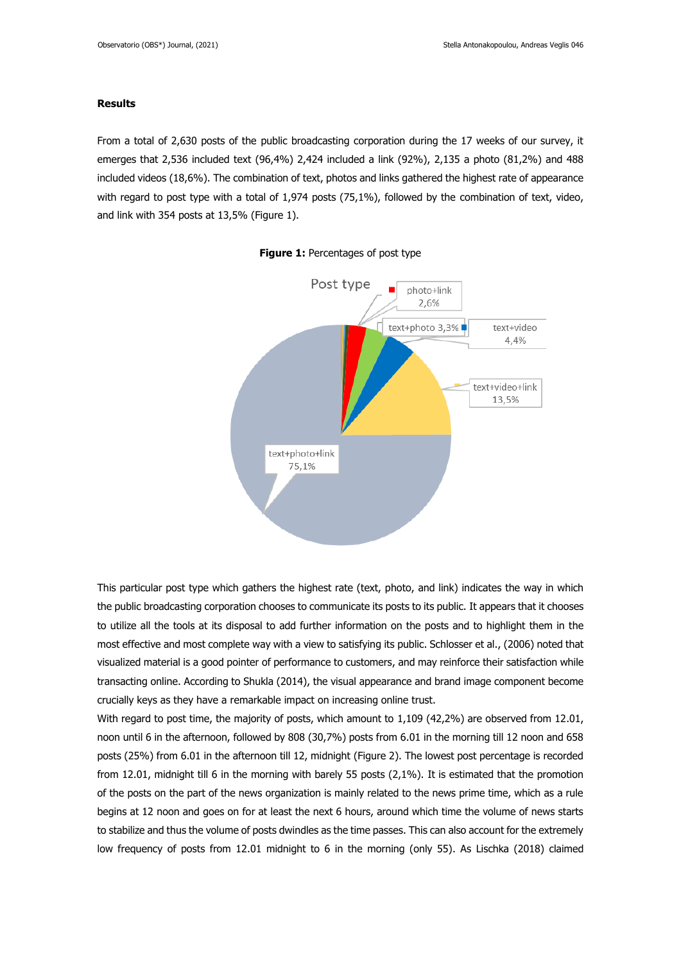# **Results**

From a total of 2,630 posts of the public broadcasting corporation during the 17 weeks of our survey, it emerges that 2,536 included text (96,4%) 2,424 included a link (92%), 2,135 a photo (81,2%) and 488 included videos (18,6%). The combination of text, photos and links gathered the highest rate of appearance with regard to post type with a total of 1,974 posts (75,1%), followed by the combination of text, video, and link with 354 posts at 13,5% (Figure 1).





This particular post type which gathers the highest rate (text, photo, and link) indicates the way in which the public broadcasting corporation chooses to communicate its posts to its public. It appears that it chooses to utilize all the tools at its disposal to add further information on the posts and to highlight them in the most effective and most complete way with a view to satisfying its public. Schlosser et al., (2006) noted that visualized material is a good pointer of performance to customers, and may reinforce their satisfaction while transacting online. According to Shukla (2014), the visual appearance and brand image component become crucially keys as they have a remarkable impact on increasing online trust.

With regard to post time, the majority of posts, which amount to 1,109 (42,2%) are observed from 12.01, noon until 6 in the afternoon, followed by 808 (30,7%) posts from 6.01 in the morning till 12 noon and 658 posts (25%) from 6.01 in the afternoon till 12, midnight (Figure 2). The lowest post percentage is recorded from 12.01, midnight till 6 in the morning with barely 55 posts (2,1%). It is estimated that the promotion of the posts on the part of the news organization is mainly related to the news prime time, which as a rule begins at 12 noon and goes on for at least the next 6 hours, around which time the volume of news starts to stabilize and thus the volume of posts dwindles as the time passes. This can also account for the extremely low frequency of posts from 12.01 midnight to 6 in the morning (only 55). As Lischka (2018) claimed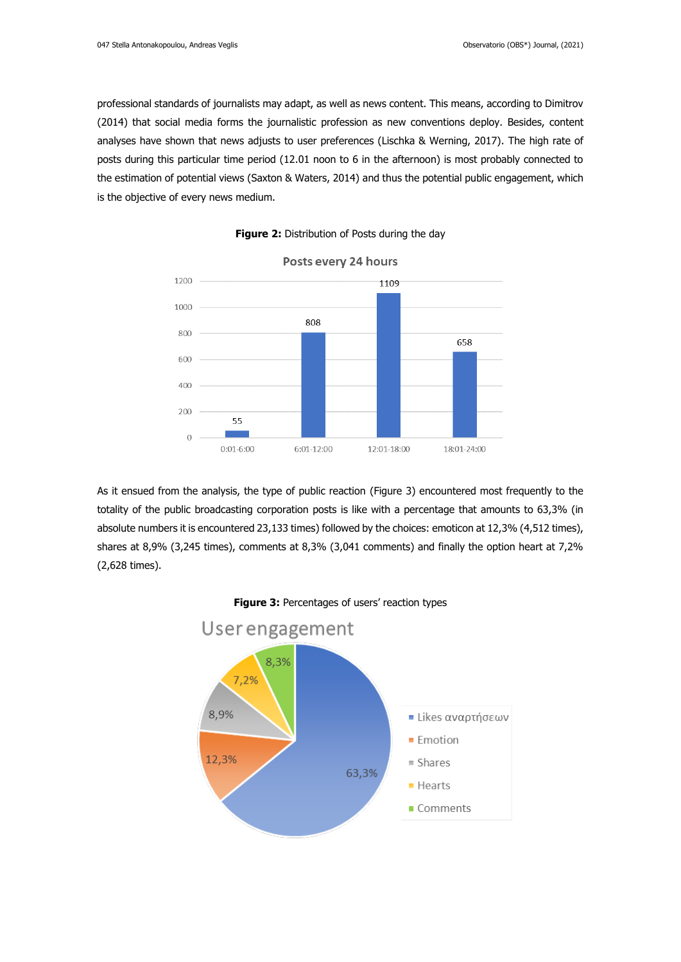professional standards of journalists may adapt, as well as news content. This means, according to Dimitrov (2014) that social media forms the journalistic profession as new conventions deploy. Besides, content analyses have shown that news adjusts to user preferences (Lischka & Werning, 2017). The high rate of posts during this particular time period (12.01 noon to 6 in the afternoon) is most probably connected to the estimation of potential views (Saxton & Waters, 2014) and thus the potential public engagement, which is the objective of every news medium.





As it ensued from the analysis, the type of public reaction (Figure 3) encountered most frequently to the totality of the public broadcasting corporation posts is like with a percentage that amounts to 63,3% (in absolute numbers it is encountered 23,133 times) followed by the choices: emoticon at 12,3% (4,512 times), shares at 8,9% (3,245 times), comments at 8,3% (3,041 comments) and finally the option heart at 7,2% (2,628 times).



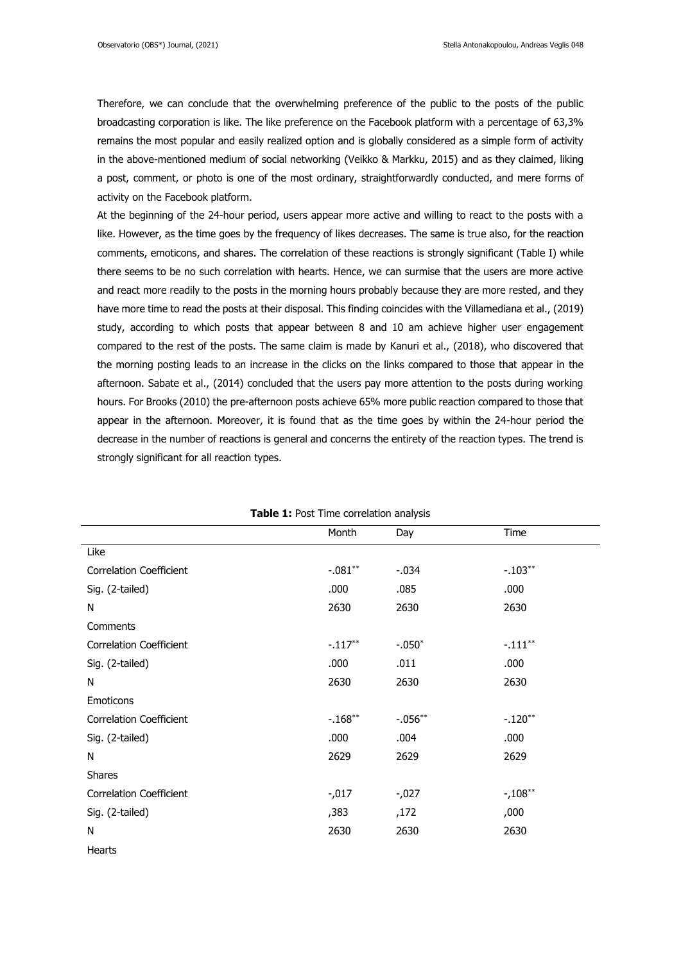Therefore, we can conclude that the overwhelming preference of the public to the posts of the public broadcasting corporation is like. The like preference on the Facebook platform with a percentage of 63,3% remains the most popular and easily realized option and is globally considered as a simple form of activity in the above-mentioned medium of social networking (Veikko & Markku, 2015) and as they claimed, liking a post, comment, or photo is one of the most ordinary, straightforwardly conducted, and mere forms of activity on the Facebook platform.

At the beginning of the 24-hour period, users appear more active and willing to react to the posts with a like. However, as the time goes by the frequency of likes decreases. The same is true also, for the reaction comments, emoticons, and shares. The correlation of these reactions is strongly significant (Table I) while there seems to be no such correlation with hearts. Hence, we can surmise that the users are more active and react more readily to the posts in the morning hours probably because they are more rested, and they have more time to read the posts at their disposal. This finding coincides with the Villamediana et al., (2019) study, according to which posts that appear between 8 and 10 am achieve higher user engagement compared to the rest of the posts. The same claim is made by Kanuri et al., (2018), who discovered that the morning posting leads to an increase in the clicks on the links compared to those that appear in the afternoon. Sabate et al., (2014) concluded that the users pay more attention to the posts during working hours. For Brooks (2010) the pre-afternoon posts achieve 65% more public reaction compared to those that appear in the afternoon. Moreover, it is found that as the time goes by within the 24-hour period the decrease in the number of reactions is general and concerns the entirety of the reaction types. The trend is strongly significant for all reaction types.

|                                | Month     | Day       | Time       |  |  |  |
|--------------------------------|-----------|-----------|------------|--|--|--|
| Like                           |           |           |            |  |  |  |
| <b>Correlation Coefficient</b> | $-.081**$ | $-.034$   | $-.103**$  |  |  |  |
| Sig. (2-tailed)                | .000      | .085      | .000       |  |  |  |
| N                              | 2630      | 2630      | 2630       |  |  |  |
| Comments                       |           |           |            |  |  |  |
| <b>Correlation Coefficient</b> | $-.117**$ | $-.050*$  | $-.111***$ |  |  |  |
| Sig. (2-tailed)                | .000      | .011      | .000       |  |  |  |
| N                              | 2630      | 2630      | 2630       |  |  |  |
| Emoticons                      |           |           |            |  |  |  |
| <b>Correlation Coefficient</b> | $-.168**$ | $-.056**$ | $-.120**$  |  |  |  |
| Sig. (2-tailed)                | .000      | .004      | .000       |  |  |  |
| N                              | 2629      | 2629      | 2629       |  |  |  |
| <b>Shares</b>                  |           |           |            |  |  |  |
| <b>Correlation Coefficient</b> | $-0.017$  | $-0.027$  | $-108**$   |  |  |  |
| Sig. (2-tailed)                | ,383      | ,172      | ,000       |  |  |  |
| N                              | 2630      | 2630      | 2630       |  |  |  |
| Hearts                         |           |           |            |  |  |  |

**Table 1:** Post Time correlation analysis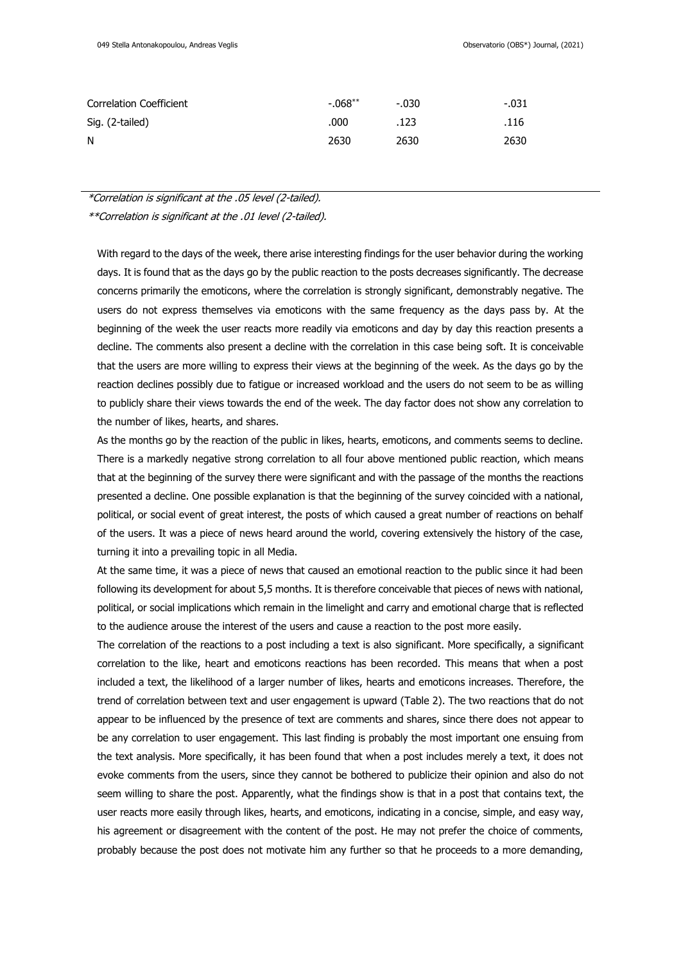| Correlation Coefficient | $-.068**$ | -.030 | -.031 |
|-------------------------|-----------|-------|-------|
| Sig. (2-tailed)         | .000      | .123  | .116  |
| N                       | 2630      | 2630  | 2630  |

\*Correlation is significant at the .05 level (2-tailed).

\*\*Correlation is significant at the .01 level (2-tailed).

With regard to the days of the week, there arise interesting findings for the user behavior during the working days. It is found that as the days go by the public reaction to the posts decreases significantly. The decrease concerns primarily the emoticons, where the correlation is strongly significant, demonstrably negative. The users do not express themselves via emoticons with the same frequency as the days pass by. At the beginning of the week the user reacts more readily via emoticons and day by day this reaction presents a decline. The comments also present a decline with the correlation in this case being soft. It is conceivable that the users are more willing to express their views at the beginning of the week. As the days go by the reaction declines possibly due to fatigue or increased workload and the users do not seem to be as willing to publicly share their views towards the end of the week. The day factor does not show any correlation to the number of likes, hearts, and shares.

As the months go by the reaction of the public in likes, hearts, emoticons, and comments seems to decline. There is a markedly negative strong correlation to all four above mentioned public reaction, which means that at the beginning of the survey there were significant and with the passage of the months the reactions presented a decline. One possible explanation is that the beginning of the survey coincided with a national, political, or social event of great interest, the posts of which caused a great number of reactions on behalf of the users. It was a piece of news heard around the world, covering extensively the history of the case, turning it into a prevailing topic in all Media.

At the same time, it was a piece of news that caused an emotional reaction to the public since it had been following its development for about 5,5 months. It is therefore conceivable that pieces of news with national, political, or social implications which remain in the limelight and carry and emotional charge that is reflected to the audience arouse the interest of the users and cause a reaction to the post more easily.

The correlation of the reactions to a post including a text is also significant. More specifically, a significant correlation to the like, heart and emoticons reactions has been recorded. This means that when a post included a text, the likelihood of a larger number of likes, hearts and emoticons increases. Therefore, the trend of correlation between text and user engagement is upward (Table 2). The two reactions that do not appear to be influenced by the presence of text are comments and shares, since there does not appear to be any correlation to user engagement. This last finding is probably the most important one ensuing from the text analysis. More specifically, it has been found that when a post includes merely a text, it does not evoke comments from the users, since they cannot be bothered to publicize their opinion and also do not seem willing to share the post. Apparently, what the findings show is that in a post that contains text, the user reacts more easily through likes, hearts, and emoticons, indicating in a concise, simple, and easy way, his agreement or disagreement with the content of the post. He may not prefer the choice of comments, probably because the post does not motivate him any further so that he proceeds to a more demanding,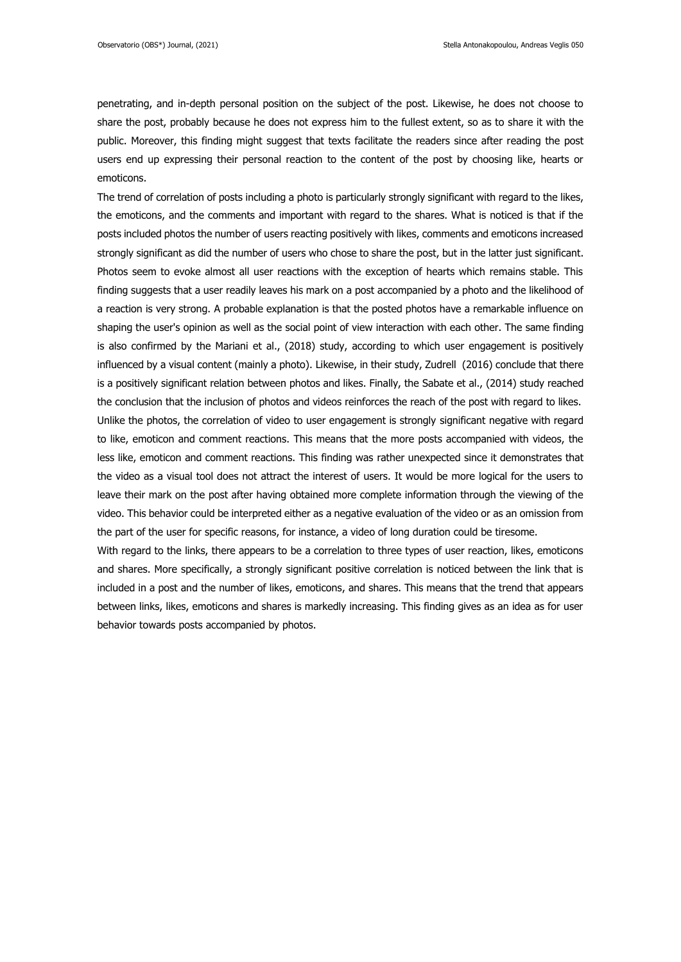penetrating, and in-depth personal position on the subject of the post. Likewise, he does not choose to share the post, probably because he does not express him to the fullest extent, so as to share it with the public. Moreover, this finding might suggest that texts facilitate the readers since after reading the post users end up expressing their personal reaction to the content of the post by choosing like, hearts or emoticons.

The trend of correlation of posts including a photo is particularly strongly significant with regard to the likes, the emoticons, and the comments and important with regard to the shares. What is noticed is that if the posts included photos the number of users reacting positively with likes, comments and emoticons increased strongly significant as did the number of users who chose to share the post, but in the latter just significant. Photos seem to evoke almost all user reactions with the exception of hearts which remains stable. This finding suggests that a user readily leaves his mark on a post accompanied by a photo and the likelihood of a reaction is very strong. A probable explanation is that the posted photos have a remarkable influence on shaping the user's opinion as well as the social point of view interaction with each other. The same finding is also confirmed by the Mariani et al., (2018) study, according to which user engagement is positively influenced by a visual content (mainly a photo). Likewise, in their study, Zudrell (2016) conclude that there is a positively significant relation between photos and likes. Finally, the Sabate et al., (2014) study reached the conclusion that the inclusion of photos and videos reinforces the reach of the post with regard to likes. Unlike the photos, the correlation of video to user engagement is strongly significant negative with regard to like, emoticon and comment reactions. This means that the more posts accompanied with videos, the less like, emoticon and comment reactions. This finding was rather unexpected since it demonstrates that the video as a visual tool does not attract the interest of users. It would be more logical for the users to leave their mark on the post after having obtained more complete information through the viewing of the video. This behavior could be interpreted either as a negative evaluation of the video or as an omission from the part of the user for specific reasons, for instance, a video of long duration could be tiresome.

With regard to the links, there appears to be a correlation to three types of user reaction, likes, emoticons and shares. More specifically, a strongly significant positive correlation is noticed between the link that is included in a post and the number of likes, emoticons, and shares. This means that the trend that appears between links, likes, emoticons and shares is markedly increasing. This finding gives as an idea as for user behavior towards posts accompanied by photos.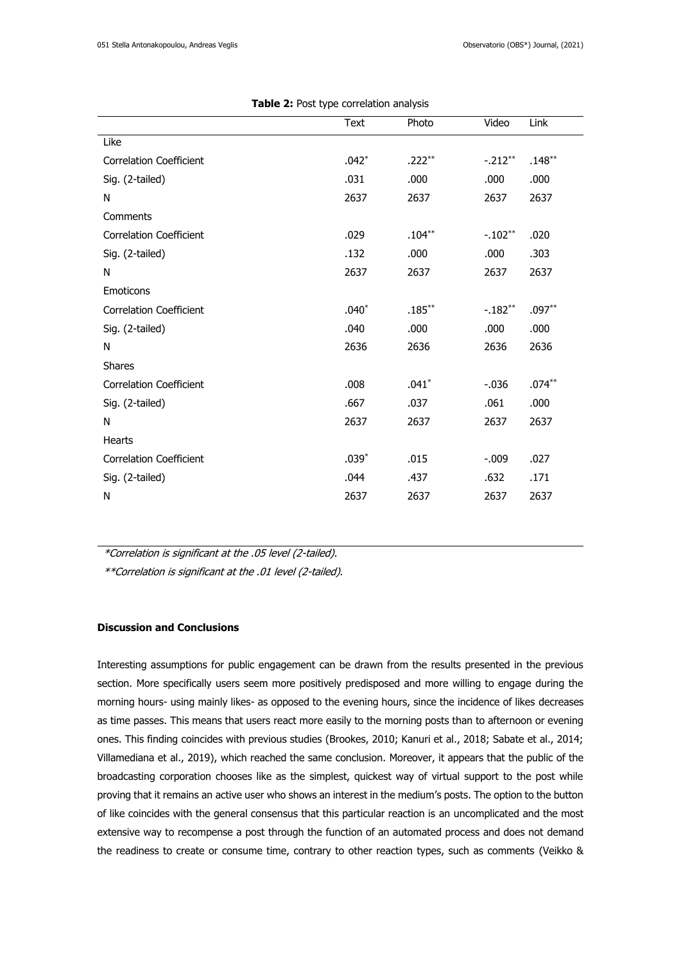|                                | <b>Text</b> | Photo     | Video     | Link      |
|--------------------------------|-------------|-----------|-----------|-----------|
| Like                           |             |           |           |           |
| <b>Correlation Coefficient</b> | $.042*$     | $.222***$ | $-.212**$ | $.148***$ |
| Sig. (2-tailed)                | .031        | .000      | .000      | .000      |
| N                              | 2637        | 2637      | 2637      | 2637      |
| Comments                       |             |           |           |           |
| <b>Correlation Coefficient</b> | .029        | $.104***$ | $-.102**$ | .020      |
| Sig. (2-tailed)                | .132        | .000      | .000      | .303      |
| N                              | 2637        | 2637      | 2637      | 2637      |
| Emoticons                      |             |           |           |           |
| <b>Correlation Coefficient</b> | $.040*$     | $.185***$ | $-.182**$ | $.097**$  |
| Sig. (2-tailed)                | .040        | .000      | .000      | .000      |
| N                              | 2636        | 2636      | 2636      | 2636      |
| <b>Shares</b>                  |             |           |           |           |
| <b>Correlation Coefficient</b> | .008        | $.041*$   | $-0.036$  | $.074**$  |
| Sig. (2-tailed)                | .667        | .037      | .061      | .000      |
| N                              | 2637        | 2637      | 2637      | 2637      |
| <b>Hearts</b>                  |             |           |           |           |
| <b>Correlation Coefficient</b> | $.039*$     | .015      | $-.009$   | .027      |
| Sig. (2-tailed)                | .044        | .437      | .632      | .171      |
| N                              | 2637        | 2637      | 2637      | 2637      |

| Table 2: Post type correlation analysis |  |
|-----------------------------------------|--|
|-----------------------------------------|--|

\*Correlation is significant at the .05 level (2-tailed).

\*\*Correlation is significant at the .01 level (2-tailed).

# **Discussion and Conclusions**

Interesting assumptions for public engagement can be drawn from the results presented in the previous section. More specifically users seem more positively predisposed and more willing to engage during the morning hours- using mainly likes- as opposed to the evening hours, since the incidence of likes decreases as time passes. This means that users react more easily to the morning posts than to afternoon or evening ones. This finding coincides with previous studies (Brookes, 2010; Kanuri et al., 2018; Sabate et al., 2014; Villamediana et al., 2019), which reached the same conclusion. Moreover, it appears that the public of the broadcasting corporation chooses like as the simplest, quickest way of virtual support to the post while proving that it remains an active user who shows an interest in the medium's posts. The option to the button of like coincides with the general consensus that this particular reaction is an uncomplicated and the most extensive way to recompense a post through the function of an automated process and does not demand the readiness to create or consume time, contrary to other reaction types, such as comments (Veikko &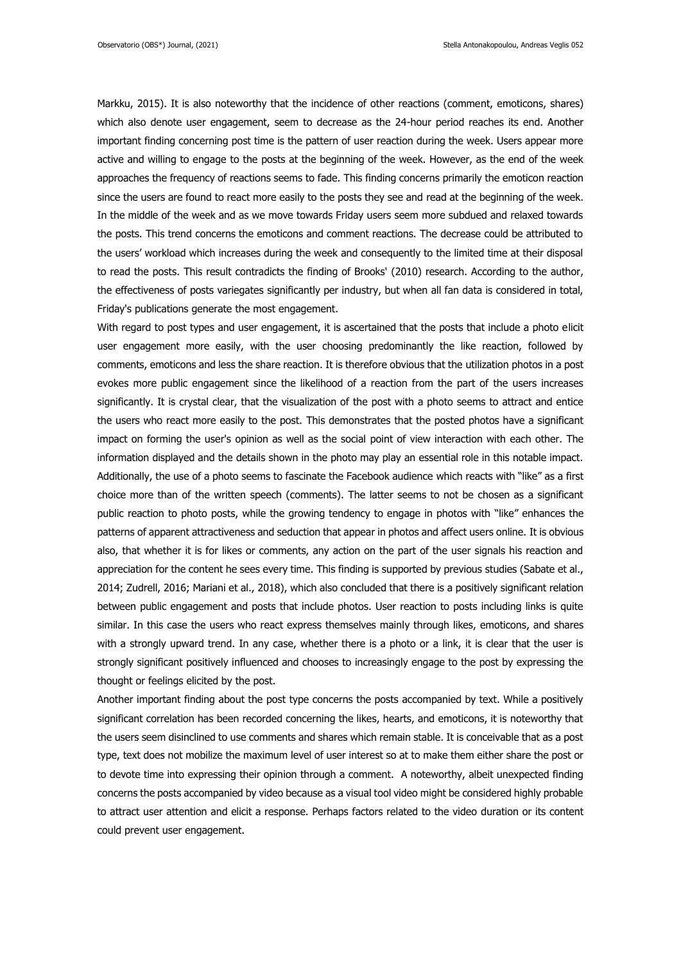Markku, 2015). It is also noteworthy that the incidence of other reactions (comment, emoticons, shares) which also denote user engagement, seem to decrease as the 24-hour period reaches its end. Another important finding concerning post time is the pattern of user reaction during the week. Users appear more active and willing to engage to the posts at the beginning of the week. However, as the end of the week approaches the frequency of reactions seems to fade. This finding concerns primarily the emoticon reaction since the users are found to react more easily to the posts they see and read at the beginning of the week. In the middle of the week and as we move towards Friday users seem more subdued and relaxed towards the posts. This trend concerns the emoticons and comment reactions. The decrease could be attributed to the users' workload which increases during the week and consequently to the limited time at their disposal to read the posts. This result contradicts the finding of Brooks' (2010) research. According to the author, the effectiveness of posts variegates significantly per industry, but when all fan data is considered in total, Friday's publications generate the most engagement.

With regard to post types and user engagement, it is ascertained that the posts that include a photo elicit user engagement more easily, with the user choosing predominantly the like reaction, followed by comments, emoticons and less the share reaction. It is therefore obvious that the utilization photos in a post evokes more public engagement since the likelihood of a reaction from the part of the users increases significantly. It is crystal clear, that the visualization of the post with a photo seems to attract and entice the users who react more easily to the post. This demonstrates that the posted photos have a significant impact on forming the user's opinion as well as the social point of view interaction with each other. The information displayed and the details shown in the photo may play an essential role in this notable impact. Additionally, the use of a photo seems to fascinate the Facebook audience which reacts with "like" as a first choice more than of the written speech (comments). The latter seems to not be chosen as a significant public reaction to photo posts, while the growing tendency to engage in photos with "like" enhances the patterns of apparent attractiveness and seduction that appear in photos and affect users online. It is obvious also, that whether it is for likes or comments, any action on the part of the user signals his reaction and appreciation for the content he sees every time. This finding is supported by previous studies (Sabate et al., 2014; Zudrell, 2016; Mariani et al., 2018), which also concluded that there is a positively significant relation between public engagement and posts that include photos. User reaction to posts including links is quite similar. In this case the users who react express themselves mainly through likes, emoticons, and shares with a strongly upward trend. In any case, whether there is a photo or a link, it is clear that the user is strongly significant positively influenced and chooses to increasingly engage to the post by expressing the thought or feelings elicited by the post.

Another important finding about the post type concerns the posts accompanied by text. While a positively significant correlation has been recorded concerning the likes, hearts, and emoticons, it is noteworthy that the users seem disinclined to use comments and shares which remain stable. It is conceivable that as a post type, text does not mobilize the maximum level of user interest so at to make them either share the post or to devote time into expressing their opinion through a comment. A noteworthy, albeit unexpected finding concerns the posts accompanied by video because as a visual tool video might be considered highly probable to attract user attention and elicit a response. Perhaps factors related to the video duration or its content could prevent user engagement.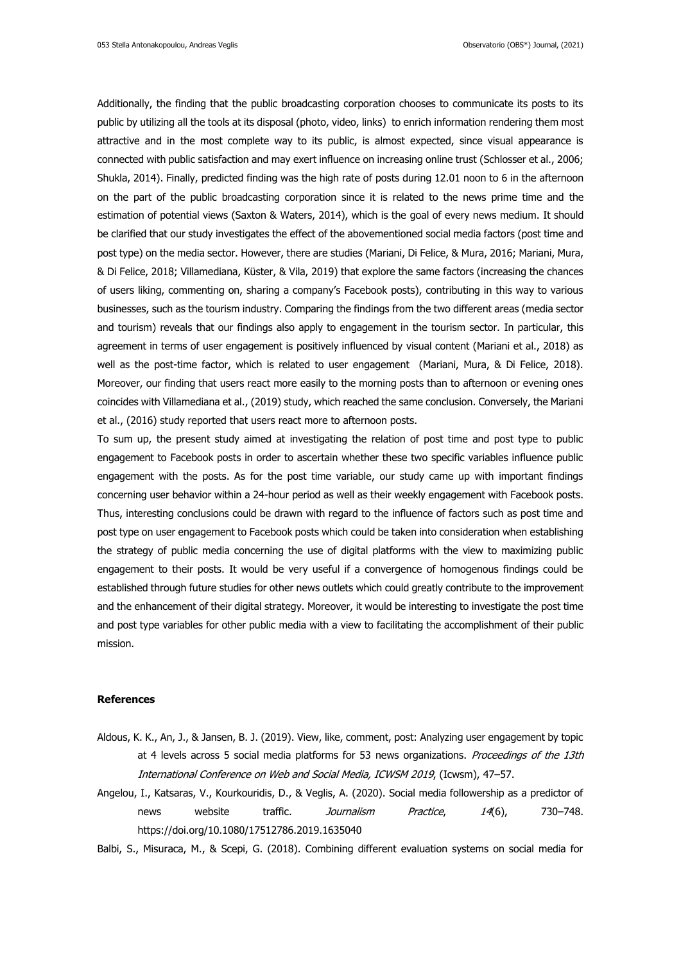Additionally, the finding that the public broadcasting corporation chooses to communicate its posts to its public by utilizing all the tools at its disposal (photo, video, links) to enrich information rendering them most attractive and in the most complete way to its public, is almost expected, since visual appearance is connected with public satisfaction and may exert influence on increasing online trust (Schlosser et al., 2006; Shukla, 2014). Finally, predicted finding was the high rate of posts during 12.01 noon to 6 in the afternoon on the part of the public broadcasting corporation since it is related to the news prime time and the estimation of potential views (Saxton & Waters, 2014), which is the goal of every news medium. It should be clarified that our study investigates the effect of the abovementioned social media factors (post time and post type) on the media sector. However, there are studies (Mariani, Di Felice, & Mura, 2016; Mariani, Mura, & Di Felice, 2018; Villamediana, Küster, & Vila, 2019) that explore the same factors (increasing the chances of users liking, commenting on, sharing a company's Facebook posts), contributing in this way to various businesses, such as the tourism industry. Comparing the findings from the two different areas (media sector and tourism) reveals that our findings also apply to engagement in the tourism sector. In particular, this agreement in terms of user engagement is positively influenced by visual content (Mariani et al., 2018) as well as the post-time factor, which is related to user engagement (Mariani, Mura, & Di Felice, 2018). Moreover, our finding that users react more easily to the morning posts than to afternoon or evening ones coincides with Villamediana et al., (2019) study, which reached the same conclusion. Conversely, the Mariani et al., (2016) study reported that users react more to afternoon posts.

To sum up, the present study aimed at investigating the relation of post time and post type to public engagement to Facebook posts in order to ascertain whether these two specific variables influence public engagement with the posts. As for the post time variable, our study came up with important findings concerning user behavior within a 24-hour period as well as their weekly engagement with Facebook posts. Thus, interesting conclusions could be drawn with regard to the influence of factors such as post time and post type on user engagement to Facebook posts which could be taken into consideration when establishing the strategy of public media concerning the use of digital platforms with the view to maximizing public engagement to their posts. It would be very useful if a convergence of homogenous findings could be established through future studies for other news outlets which could greatly contribute to the improvement and the enhancement of their digital strategy. Moreover, it would be interesting to investigate the post time and post type variables for other public media with a view to facilitating the accomplishment of their public mission.

## **References**

- Aldous, K. K., An, J., & Jansen, B. J. (2019). View, like, comment, post: Analyzing user engagement by topic at 4 levels across 5 social media platforms for 53 news organizations. Proceedings of the 13th International Conference on Web and Social Media, ICWSM 2019, (Icwsm), 47–57.
- Angelou, I., Katsaras, V., Kourkouridis, D., & Veglis, A. (2020). Social media followership as a predictor of news website traffic. Journalism Practice, 14(6), 730–748. https://doi.org/10.1080/17512786.2019.1635040
- Balbi, S., Misuraca, M., & Scepi, G. (2018). Combining different evaluation systems on social media for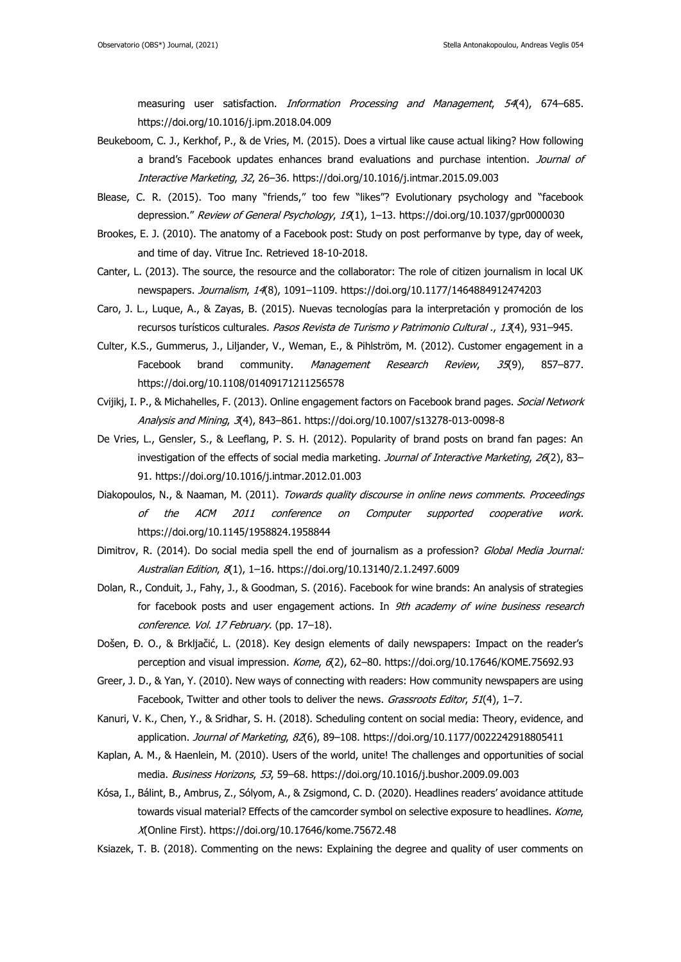measuring user satisfaction. *Information Processing and Management*, 54(4), 674–685. https://doi.org/10.1016/j.ipm.2018.04.009

- Beukeboom, C. J., Kerkhof, P., & de Vries, M. (2015). Does a virtual like cause actual liking? How following a brand's Facebook updates enhances brand evaluations and purchase intention. Journal of Interactive Marketing, 32, 26–36. https://doi.org/10.1016/j.intmar.2015.09.003
- Blease, C. R. (2015). Too many "friends," too few "likes"? Evolutionary psychology and "facebook depression." Review of General Psychology, 19(1), 1-13. https://doi.org/10.1037/gpr0000030
- Brookes, E. J. (2010). The anatomy of a Facebook post: Study on post performanve by type, day of week, and time of day. Vitrue Inc. Retrieved 18-10-2018.
- Canter, L. (2013). The source, the resource and the collaborator: The role of citizen journalism in local UK newspapers. Journalism, 14(8), 1091–1109. https://doi.org/10.1177/1464884912474203
- Caro, J. L., Luque, A., & Zayas, B. (2015). Nuevas tecnologías para la interpretación y promoción de los recursos turísticos culturales. Pasos Revista de Turismo y Patrimonio Cultural ., 13(4), 931-945.
- Culter, K.S., Gummerus, J., Liljander, V., Weman, E., & Pihlström, M. (2012). Customer engagement in a Facebook brand community. Management Research Review, 35(9), 857–877. https://doi.org/10.1108/01409171211256578
- Cvijikj, I. P., & Michahelles, F. (2013). Online engagement factors on Facebook brand pages. Social Network Analysis and Mining, 3(4), 843–861. https://doi.org/10.1007/s13278-013-0098-8
- De Vries, L., Gensler, S., & Leeflang, P. S. H. (2012). Popularity of brand posts on brand fan pages: An investigation of the effects of social media marketing. Journal of Interactive Marketing, 26(2), 83-91. https://doi.org/10.1016/j.intmar.2012.01.003
- Diakopoulos, N., & Naaman, M. (2011). Towards quality discourse in online news comments. Proceedings of the ACM 2011 conference on Computer supported cooperative work. https://doi.org/10.1145/1958824.1958844
- Dimitrov, R. (2014). Do social media spell the end of journalism as a profession? Global Media Journal: Australian Edition, 8(1), 1–16. https://doi.org/10.13140/2.1.2497.6009
- Dolan, R., Conduit, J., Fahy, J., & Goodman, S. (2016). Facebook for wine brands: An analysis of strategies for facebook posts and user engagement actions. In 9th academy of wine business research conference. Vol. 17 February. (pp. 17-18).
- Došen, Đ. O., & Brkljačić, L. (2018). Key design elements of daily newspapers: Impact on the reader's perception and visual impression. Kome, 6(2), 62-80. https://doi.org/10.17646/KOME.75692.93
- Greer, J. D., & Yan, Y. (2010). New ways of connecting with readers: How community newspapers are using Facebook, Twitter and other tools to deliver the news. Grassroots Editor, 51(4), 1-7.
- Kanuri, V. K., Chen, Y., & Sridhar, S. H. (2018). Scheduling content on social media: Theory, evidence, and application. *Journal of Marketing, 82*(6), 89-108. https://doi.org/10.1177/0022242918805411
- Kaplan, A. M., & Haenlein, M. (2010). Users of the world, unite! The challenges and opportunities of social media. Business Horizons, 53, 59–68. https://doi.org/10.1016/j.bushor.2009.09.003
- Kósa, I., Bálint, B., Ambrus, Z., Sólyom, A., & Zsigmond, C. D. (2020). Headlines readers' avoidance attitude towards visual material? Effects of the camcorder symbol on selective exposure to headlines. Kome, X(Online First). https://doi.org/10.17646/kome.75672.48
- Ksiazek, T. B. (2018). Commenting on the news: Explaining the degree and quality of user comments on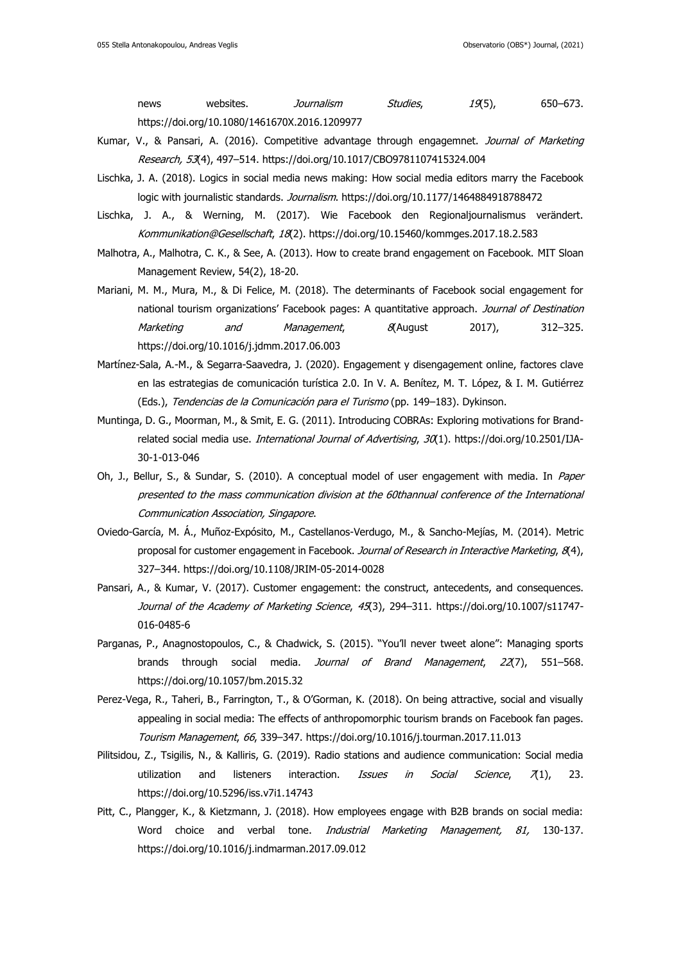news websites. *Journalism Studies*, 19(5), 650–673. https://doi.org/10.1080/1461670X.2016.1209977

- Kumar, V., & Pansari, A. (2016). Competitive advantage through engagemnet. Journal of Marketing Research, 53(4), 497–514. https://doi.org/10.1017/CBO9781107415324.004
- Lischka, J. A. (2018). Logics in social media news making: How social media editors marry the Facebook logic with journalistic standards. Journalism. https://doi.org/10.1177/1464884918788472
- Lischka, J. A., & Werning, M. (2017). Wie Facebook den Regionaljournalismus verändert. Kommunikation@Gesellschaft, 18(2). https://doi.org/10.15460/kommges.2017.18.2.583
- Malhotra, A., Malhotra, C. K., & See, A. (2013). How to create brand engagement on Facebook. MIT Sloan Management Review, 54(2), 18-20.
- Mariani, M. M., Mura, M., & Di Felice, M. (2018). The determinants of Facebook social engagement for national tourism organizations' Facebook pages: A quantitative approach. Journal of Destination Marketing and Management, 8(August 2017), 312–325. https://doi.org/10.1016/j.jdmm.2017.06.003
- Martínez-Sala, A.-M., & Segarra-Saavedra, J. (2020). Engagement y disengagement online, factores clave en las estrategias de comunicación turística 2.0. In V. A. Benítez, M. T. López, & I. M. Gutiérrez (Eds.), Tendencias de la Comunicación para el Turismo (pp. 149–183). Dykinson.
- Muntinga, D. G., Moorman, M., & Smit, E. G. (2011). Introducing COBRAs: Exploring motivations for Brandrelated social media use. *International Journal of Advertising, 30*(1). https://doi.org/10.2501/IJA-30-1-013-046
- Oh, J., Bellur, S., & Sundar, S. (2010). A conceptual model of user engagement with media. In Paper presented to the mass communication division at the 60thannual conference of the International Communication Association, Singapore.
- Oviedo-García, M. Á., Muñoz-Expósito, M., Castellanos-Verdugo, M., & Sancho-Mejías, M. (2014). Metric proposal for customer engagement in Facebook. Journal of Research in Interactive Marketing, 8(4), 327–344. https://doi.org/10.1108/JRIM-05-2014-0028
- Pansari, A., & Kumar, V. (2017). Customer engagement: the construct, antecedents, and consequences. Journal of the Academy of Marketing Science, 45(3), 294-311. https://doi.org/10.1007/s11747-016-0485-6
- Parganas, P., Anagnostopoulos, C., & Chadwick, S. (2015). "You'll never tweet alone": Managing sports brands through social media. Journal of Brand Management, 22(7), 551–568. https://doi.org/10.1057/bm.2015.32
- Perez-Vega, R., Taheri, B., Farrington, T., & O'Gorman, K. (2018). On being attractive, social and visually appealing in social media: The effects of anthropomorphic tourism brands on Facebook fan pages. Tourism Management, 66, 339–347. https://doi.org/10.1016/j.tourman.2017.11.013
- Pilitsidou, Z., Tsigilis, N., & Kalliris, G. (2019). Radio stations and audience communication: Social media utilization and listeners interaction. *Issues in Social Science*,  $\pi(1)$ , 23. https://doi.org/10.5296/iss.v7i1.14743
- Pitt, C., Plangger, K., & Kietzmann, J. (2018). How employees engage with B2B brands on social media: Word choice and verbal tone. *Industrial Marketing Management, 81*, 130-137. https://doi.org/10.1016/j.indmarman.2017.09.012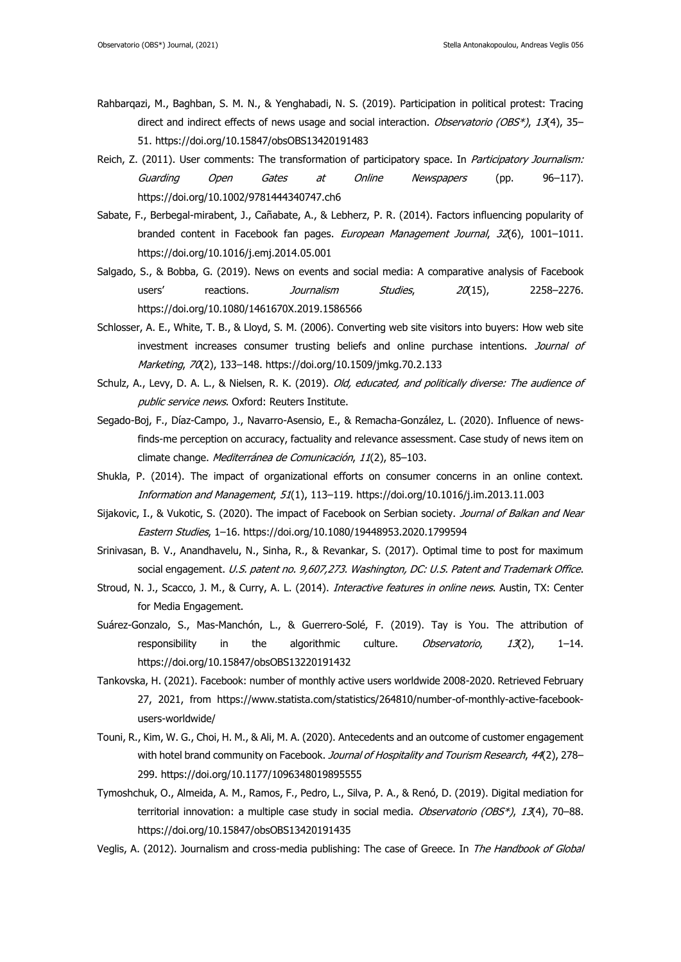- Rahbarqazi, M., Baghban, S. M. N., & Yenghabadi, N. S. (2019). Participation in political protest: Tracing direct and indirect effects of news usage and social interaction. *Observatorio (OBS\*), 13*(4), 35– 51. https://doi.org/10.15847/obsOBS13420191483
- Reich, Z. (2011). User comments: The transformation of participatory space. In Participatory Journalism: Guarding Open Gates at Online Newspapers (pp. 96–117). https://doi.org/10.1002/9781444340747.ch6
- Sabate, F., Berbegal-mirabent, J., Cañabate, A., & Lebherz, P. R. (2014). Factors influencing popularity of branded content in Facebook fan pages. European Management Journal, 32(6), 1001-1011. https://doi.org/10.1016/j.emj.2014.05.001
- Salgado, S., & Bobba, G. (2019). News on events and social media: A comparative analysis of Facebook users' reactions. *Journalism Studies*, 20(15), 2258-2276. https://doi.org/10.1080/1461670X.2019.1586566
- Schlosser, A. E., White, T. B., & Lloyd, S. M. (2006). Converting web site visitors into buyers: How web site investment increases consumer trusting beliefs and online purchase intentions. Journal of Marketing, 70(2), 133–148. https://doi.org/10.1509/jmkg.70.2.133
- Schulz, A., Levy, D. A. L., & Nielsen, R. K. (2019). Old, educated, and politically diverse: The audience of public service news. Oxford: Reuters Institute.
- Segado-Boj, F., Díaz-Campo, J., Navarro-Asensio, E., & Remacha-González, L. (2020). Influence of newsfinds-me perception on accuracy, factuality and relevance assessment. Case study of news item on climate change. Mediterránea de Comunicación, 11(2), 85–103.
- Shukla, P. (2014). The impact of organizational efforts on consumer concerns in an online context. Information and Management, 51(1), 113–119. https://doi.org/10.1016/j.im.2013.11.003
- Sijakovic, I., & Vukotic, S. (2020). The impact of Facebook on Serbian society. Journal of Balkan and Near Eastern Studies, 1–16. https://doi.org/10.1080/19448953.2020.1799594
- Srinivasan, B. V., Anandhavelu, N., Sinha, R., & Revankar, S. (2017). Optimal time to post for maximum social engagement. U.S. patent no. 9,607,273. Washington, DC: U.S. Patent and Trademark Office.
- Stroud, N. J., Scacco, J. M., & Curry, A. L. (2014). Interactive features in online news. Austin, TX: Center for Media Engagement.
- Suárez-Gonzalo, S., Mas-Manchón, L., & Guerrero-Solé, F. (2019). Tay is You. The attribution of responsibility in the algorithmic culture. Observatorio, 13(2), 1-14. https://doi.org/10.15847/obsOBS13220191432
- Tankovska, H. (2021). Facebook: number of monthly active users worldwide 2008-2020. Retrieved February 27, 2021, from https://www.statista.com/statistics/264810/number-of-monthly-active-facebookusers-worldwide/
- Touni, R., Kim, W. G., Choi, H. M., & Ali, M. A. (2020). Antecedents and an outcome of customer engagement with hotel brand community on Facebook. Journal of Hospitality and Tourism Research, 44(2), 278-299. https://doi.org/10.1177/1096348019895555
- Tymoshchuk, O., Almeida, A. M., Ramos, F., Pedro, L., Silva, P. A., & Renó, D. (2019). Digital mediation for territorial innovation: a multiple case study in social media. Observatorio (OBS\*), 13(4), 70-88. https://doi.org/10.15847/obsOBS13420191435
- Veglis, A. (2012). Journalism and cross-media publishing: The case of Greece. In The Handbook of Global